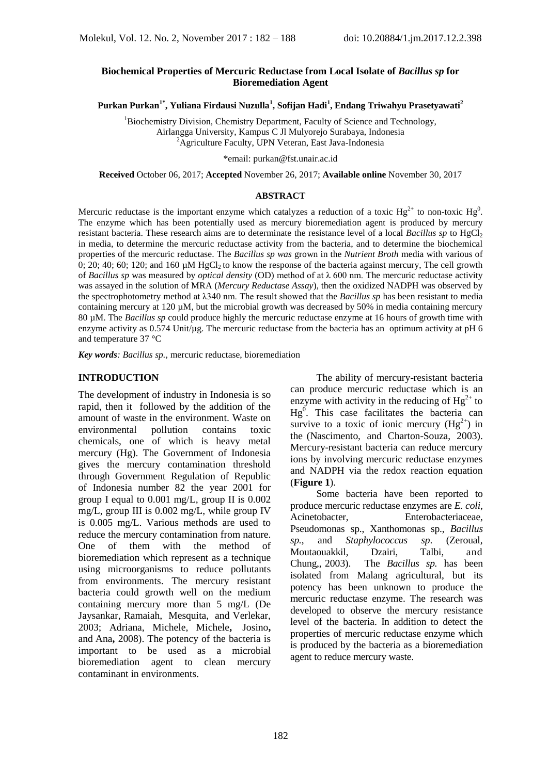## **Biochemical Properties of Mercuric Reductase from Local Isolate of** *Bacillus sp* **for Bioremediation Agent**

**Purkan Purkan1\* , Yuliana Firdausi Nuzulla<sup>1</sup> , Sofijan Hadi<sup>1</sup> , Endang Triwahyu Prasetyawati<sup>2</sup>**

<sup>1</sup>Biochemistry Division, Chemistry Department, Faculty of Science and Technology, Airlangga University, Kampus C Jl Mulyorejo Surabaya, Indonesia  $^{2}$ Agriculture Faculty, UPN Veteran, East Java-Indonesia

\*email: [purkan@fst.unair.ac.id](mailto:purkan@fst.unair.ac.id)

**Received** October 06, 2017; **Accepted** November 26, 2017; **Available online** November 30, 2017

#### **ABSTRACT**

Mercuric reductase is the important enzyme which catalyzes a reduction of a toxic  $Hg^{2+}$  to non-toxic  $Hg^{0}$ . The enzyme which has been potentially used as mercury bioremediation agent is produced by mercury resistant bacteria. These research aims are to determinate the resistance level of a local *Bacillus sp* to HgCl<sub>2</sub> in media, to determine the mercuric reductase activity from the bacteria, and to determine the biochemical properties of the mercuric reductase. The *Bacillus sp was* grown in the *Nutrient Broth* media with various of 0; 20; 40; 60; 120; and 160  $\mu$ M HgCl<sub>2</sub> to know the response of the bacteria against mercury, The cell growth of *Bacillus sp* was measured by *optical density* (OD) method of at λ 600 nm. The mercuric reductase activity was assayed in the solution of MRA (*Mercury Reductase Assay*), then the oxidized NADPH was observed by the spectrophotometry method at λ340 nm. The result showed that the *Bacillus sp* has been resistant to media containing mercury at 120 µM, but the microbial growth was decreased by 50% in media containing mercury 80 µM. The *Bacillus sp* could produce highly the mercuric reductase enzyme at 16 hours of growth time with enzyme activity as  $0.574$  Unit/ $\mu$ g. The mercuric reductase from the bacteria has an optimum activity at pH 6 and temperature 37 °C

*Key words: Bacillus sp.,* mercuric reductase, bioremediation

#### **INTRODUCTION**

The development of industry in Indonesia is so rapid, then it followed by the addition of the amount of waste in the environment. Waste on environmental pollution contains toxic chemicals, one of which is heavy metal mercury (Hg). The Government of Indonesia gives the mercury contamination threshold through Government Regulation of Republic of Indonesia number 82 the year 2001 for group I equal to 0.001 mg/L, group II is 0.002 mg/L, group III is 0.002 mg/L, while group IV is 0.005 mg/L. Various methods are used to reduce the mercury contamination from nature. One of them with the method of bioremediation which represent as a technique using microorganisms to reduce pollutants from environments. The mercury resistant bacteria could growth well on the medium containing mercury more than 5 mg/L (De Jaysankar, Ramaiah, Mesquita, and Verlekar, 2003; [Adriana,](https://www.ncbi.nlm.nih.gov/pubmed/?term=Sotero-Martins%20A%5BAuthor%5D&cauthor=true&cauthor_uid=24031221) [Michele,](https://www.ncbi.nlm.nih.gov/pubmed/?term=Sotero-Martins%20A%5BAuthor%5D&cauthor=true&cauthor_uid=24031221) [Michele](https://www.ncbi.nlm.nih.gov/pubmed/?term=Lacerda%20M%5BAuthor%5D&cauthor=true&cauthor_uid=24031221)**,** [Josino](https://www.ncbi.nlm.nih.gov/pubmed/?term=Moreira%20JC%5BAuthor%5D&cauthor=true&cauthor_uid=24031221)**,** and [Ana](https://www.ncbi.nlm.nih.gov/pubmed/?term=Filgueiras%20AL%5BAuthor%5D&cauthor=true&cauthor_uid=24031221)**,** 2008). The potency of the bacteria is important to be used as a microbial bioremediation agent to clean mercury contaminant in environments.

The ability of mercury-resistant bacteria can produce mercuric reductase which is an enzyme with activity in the reducing of  $Hg^{2+}$  to  $Hg^0$ . This case facilitates the bacteria can survive to a toxic of ionic mercury  $(Hg^{2+})$  in the (Nascimento, and Charton-Souza, 2003). Mercury-resistant bacteria can reduce mercury ions by involving mercuric reductase enzymes and NADPH via the redox reaction equation (**Figure 1**).

Some bacteria have been reported to produce mercuric reductase enzymes are *E. coli*, Acinetobacter, Enterobacteriaceae, Pseudomonas sp., Xanthomonas sp., *Bacillus sp.*, and *Staphylococcus sp*. (Zeroual, Moutaouakkil, Dzairi, Talbi, and Chung,, 2003). The *Bacillus sp.* has been isolated from Malang agricultural, but its potency has been unknown to produce the mercuric reductase enzyme. The research was developed to observe the mercury resistance level of the bacteria. In addition to detect the properties of mercuric reductase enzyme which is produced by the bacteria as a bioremediation agent to reduce mercury waste.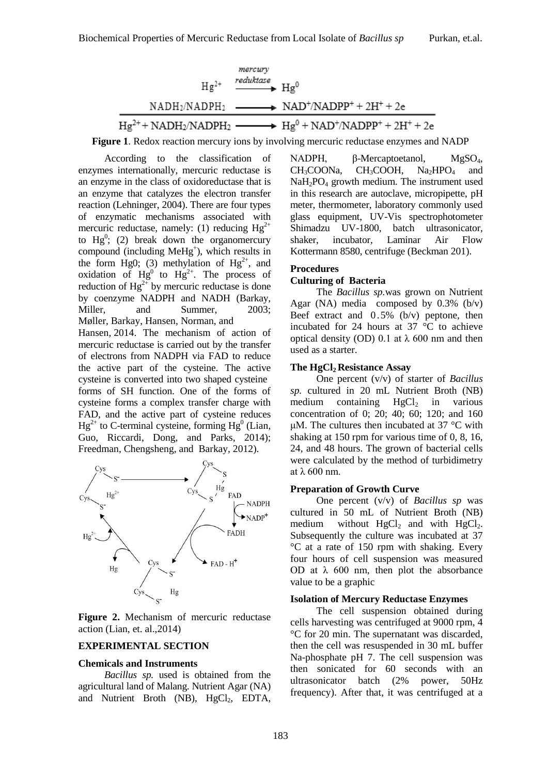

**Figure 1**. Redox reaction mercury ions by involving mercuric reductase enzymes and NADP

According to the classification of enzymes internationally, mercuric reductase is an enzyme in the class of oxidoreductase that is an enzyme that catalyzes the electron transfer reaction (Lehninger, 2004). There are four types of enzymatic mechanisms associated with mercuric reductase, namely: (1) reducing  $Hg^{2+}$ to  $Hg^0$ ; (2) break down the organomercury compound (including MeHg<sup>+</sup>), which results in the form Hg0; (3) methylation of  $Hg^{2+}$ , and oxidation of  $Hg^0$  to  $Hg^{2+}$ . The process of reduction of  $Hg^{2+}$  by mercuric reductase is done by coenzyme NADPH and NADH (Barkay, Miller, and Summer, 2003; [Møller,](https://www.ncbi.nlm.nih.gov/pubmed/?term=M%C3%B8ller%20AK%5BAuthor%5D&cauthor=true&cauthor_uid=23909591) [Barkay,](https://www.ncbi.nlm.nih.gov/pubmed/?term=Barkay%20T%5BAuthor%5D&cauthor=true&cauthor_uid=23909591) [Hansen,](https://www.ncbi.nlm.nih.gov/pubmed/?term=Hansen%20MA%5BAuthor%5D&cauthor=true&cauthor_uid=23909591) [Norman,](https://www.ncbi.nlm.nih.gov/pubmed/?term=Norman%20A%5BAuthor%5D&cauthor=true&cauthor_uid=23909591) and [Hansen,](https://www.ncbi.nlm.nih.gov/pubmed/?term=Hansen%20LH%5BAuthor%5D&cauthor=true&cauthor_uid=23909591) 2014. The mechanism of action of mercuric reductase is carried out by the transfer of electrons from NADPH via FAD to reduce the active part of the cysteine. The active cysteine is converted into two shaped cysteine forms of SH function. One of the forms of cysteine forms a complex transfer charge with FAD, and the active part of cysteine reduces  $Hg^{2+}$  to C-terminal cysteine, forming  $Hg^{0}$  (Lian, Guo, Riccardi, Dong, and Parks, 2014); [Freedman,](https://www.ncbi.nlm.nih.gov/pubmed/?term=Freedman%20Z%5BAuthor%5D&cauthor=true&cauthor_uid=22773655) [Chengsheng,](https://www.ncbi.nlm.nih.gov/pubmed/?term=Zhu%20C%5BAuthor%5D&cauthor=true&cauthor_uid=22773655) and [Barkay,](https://www.ncbi.nlm.nih.gov/pubmed/?term=Barkay%20T%5BAuthor%5D&cauthor=true&cauthor_uid=22773655) 2012).



**Figure 2.** Mechanism of mercuric reductase action (Lian, et. al.,2014)

#### **EXPERIMENTAL SECTION**

#### **Chemicals and Instruments**

*Bacillus sp.* used is obtained from the agricultural land of Malang. Nutrient Agar (NA) and Nutrient Broth (NB), HgCl<sub>2</sub>, EDTA,

NADPH, β-Mercaptoetanol, MgSO<sub>4</sub>,  $CH_3COONa$ ,  $CH_3COOH$ ,  $Na_2HPO<sub>4</sub>$  and  $NaH<sub>2</sub>PO<sub>4</sub>$  growth medium. The instrument used in this research are autoclave, micropipette, pH meter, thermometer, laboratory commonly used glass equipment, UV-Vis spectrophotometer Shimadzu UV-1800, batch ultrasonicator, shaker, incubator, Laminar Air Flow Kottermann 8580, centrifuge (Beckman 201).

### **Procedures**

#### **Culturing of Bacteria**

The *Bacillus sp.*was grown on Nutrient Agar (NA) media composed by  $0.3\%$  (b/v) Beef extract and 0.5% (b/v) peptone, then incubated for 24 hours at 37 °C to achieve optical density (OD) 0.1 at λ 600 nm and then used as a starter.

#### **The HgCl<sup>2</sup> Resistance Assay**

One percent (v/v) of starter of *Bacillus sp.* cultured in 20 mL Nutrient Broth (NB) medium containing  $HgCl<sub>2</sub>$  in various concentration of 0; 20; 40; 60; 120; and 160 μM. The cultures then incubated at 37  $°C$  with shaking at 150 rpm for various time of 0, 8, 16, 24, and 48 hours. The grown of bacterial cells were calculated by the method of turbidimetry at λ 600 nm.

#### **Preparation of Growth Curve**

One percent (v/v) of *Bacillus sp* was cultured in 50 mL of Nutrient Broth (NB) medium without  $HgCl<sub>2</sub>$  and with  $HgCl<sub>2</sub>$ . Subsequently the culture was incubated at 37 °C at a rate of 150 rpm with shaking. Every four hours of cell suspension was measured OD at  $\lambda$  600 nm, then plot the absorbance value to be a graphic

### **Isolation of Mercury Reductase Enzymes**

The cell suspension obtained during cells harvesting was centrifuged at 9000 rpm, 4 °C for 20 min. The supernatant was discarded, then the cell was resuspended in 30 mL buffer Na-phosphate pH 7. The cell suspension was then sonicated for 60 seconds with an ultrasonicator batch (2% power, 50Hz frequency). After that, it was centrifuged at a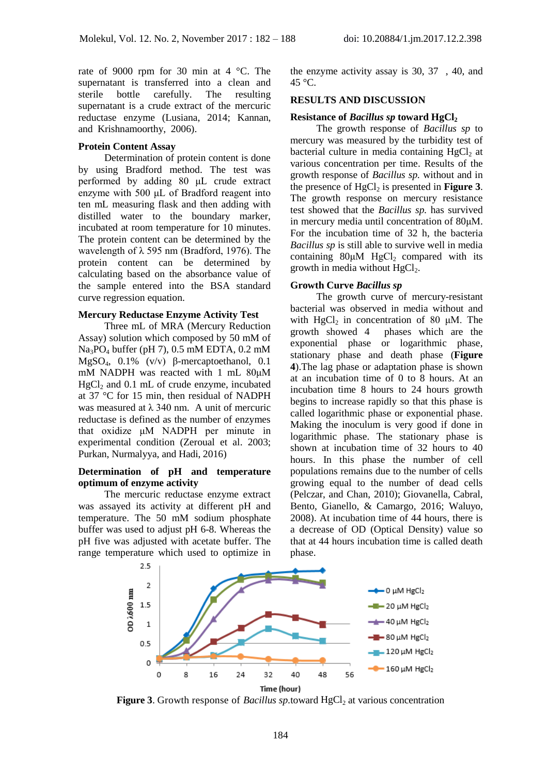rate of 9000 rpm for 30 min at 4 °C. The supernatant is transferred into a clean and sterile bottle carefully. The resulting supernatant is a crude extract of the mercuric reductase enzyme (Lusiana, 2014; Kannan, and Krishnamoorthy, 2006).

#### **Protein Content Assay**

Determination of protein content is done by using Bradford method. The test was performed by adding 80 μL crude extract enzyme with 500 μL of Bradford reagent into ten mL measuring flask and then adding with distilled water to the boundary marker, incubated at room temperature for 10 minutes. The protein content can be determined by the wavelength of  $\lambda$  595 nm (Bradford, 1976). The protein content can be determined by calculating based on the absorbance value of the sample entered into the BSA standard curve regression equation.

#### **Mercury Reductase Enzyme Activity Test**

Three mL of MRA (Mercury Reduction Assay) solution which composed by 50 mM of Na3PO<sup>4</sup> buffer (pH 7), 0.5 mM EDTA, 0.2 mM MgSO4, 0.1% (v/v) β-mercaptoethanol, 0.1 mM NADPH was reacted with 1 mL 80μM  $HgCl<sub>2</sub>$  and 0.1 mL of crude enzyme, incubated at 37 °C for 15 min, then residual of NADPH was measured at  $\lambda$  340 nm. A unit of mercuric reductase is defined as the number of enzymes that oxidize μM NADPH per minute in experimental condition (Zeroual et al. 2003; Purkan, Nurmalyya, and Hadi, 2016)

### **Determination of pH and temperature optimum of enzyme activity**

The mercuric reductase enzyme extract was assayed its activity at different pH and temperature. The 50 mM sodium phosphate buffer was used to adjust pH 6-8. Whereas the pH five was adjusted with acetate buffer. The range temperature which used to optimize in

the enzyme activity assay is 30, 37 , 40, and  $45^{\circ}$ C.

#### **RESULTS AND DISCUSSION**

# **Resistance of** *Bacillus sp* **toward HgCl<sup>2</sup>**

The growth response of *Bacillus sp* to mercury was measured by the turbidity test of bacterial culture in media containing  $HgCl<sub>2</sub>$  at various concentration per time. Results of the growth response of *Bacillus sp.* without and in the presence of  $HgCl<sub>2</sub>$  is presented in **Figure 3**. The growth response on mercury resistance test showed that the *Bacillus sp.* has survived in mercury media until concentration of 80μM. For the incubation time of 32 h, the bacteria *Bacillus sp* is still able to survive well in media containing  $80\mu M$  HgCl<sub>2</sub> compared with its growth in media without  $HeCl<sub>2</sub>$ .

#### **Growth Curve** *Bacillus sp*

The growth curve of mercury-resistant bacterial was observed in media without and with  $HgCl<sub>2</sub>$  in concentration of 80  $\mu$ M. The growth showed 4 phases which are the phases which are the exponential phase or logarithmic phase, stationary phase and death phase (**Figure 4**).The lag phase or adaptation phase is shown at an incubation time of 0 to 8 hours. At an incubation time 8 hours to 24 hours growth begins to increase rapidly so that this phase is called logarithmic phase or exponential phase. Making the inoculum is very good if done in logarithmic phase. The stationary phase is shown at incubation time of 32 hours to 40 hours. In this phase the number of cell populations remains due to the number of cells growing equal to the number of dead cells (Pelczar, and Chan, 2010); Giovanella, Cabral, Bento, Gianello, & Camargo, 2016; Waluyo, 2008). At incubation time of 44 hours, there is a decrease of OD (Optical Density) value so that at 44 hours incubation time is called death phase.



**Figure** 3. Growth response of *Bacillus sp.*toward  $HgCl<sub>2</sub>$  at various concentration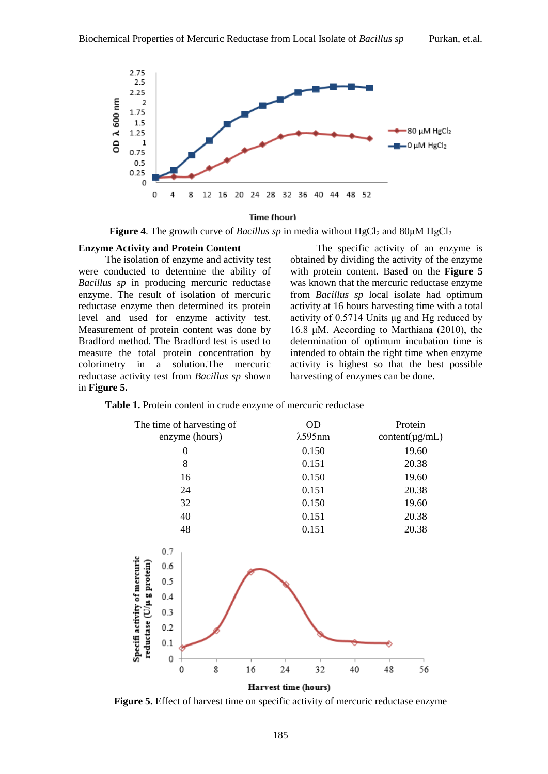

#### **Time (hour)**

**Figure 4.** The growth curve of *Bacillus sp* in media without  $HgCl_2$  and  $80\mu M HgCl_2$ 

### **Enzyme Activity and Protein Content**

The isolation of enzyme and activity test were conducted to determine the ability of *Bacillus sp* in producing mercuric reductase enzyme. The result of isolation of mercuric reductase enzyme then determined its protein level and used for enzyme activity test. Measurement of protein content was done by Bradford method. The Bradford test is used to measure the total protein concentration by colorimetry in a solution.The mercuric reductase activity test from *Bacillus sp* shown in **Figure 5.**

The specific activity of an enzyme is obtained by dividing the activity of the enzyme with protein content. Based on the **Figure 5** was known that the mercuric reductase enzyme from *Bacillus sp* local isolate had optimum activity at 16 hours harvesting time with a total activity of 0.5714 Units μg and Hg reduced by 16.8 μM. According to Marthiana (2010), the determination of optimum incubation time is intended to obtain the right time when enzyme activity is highest so that the best possible harvesting of enzymes can be done.

**Table 1.** Protein content in crude enzyme of mercuric reductase

| OD<br>$\lambda$ 595nm | Protein<br>$content(\mu g/mL)$ |
|-----------------------|--------------------------------|
| 0.150                 | 19.60                          |
| 0.151                 | 20.38                          |
| 0.150                 | 19.60                          |
| 0.151                 | 20.38                          |
| 0.150                 | 19.60                          |
| 0.151                 | 20.38                          |
| 0.151                 | 20.38                          |
| 24<br>32<br>40        | 56<br>48                       |
|                       | Harvest time (hours)           |

**Figure 5.** Effect of harvest time on specific activity of mercuric reductase enzyme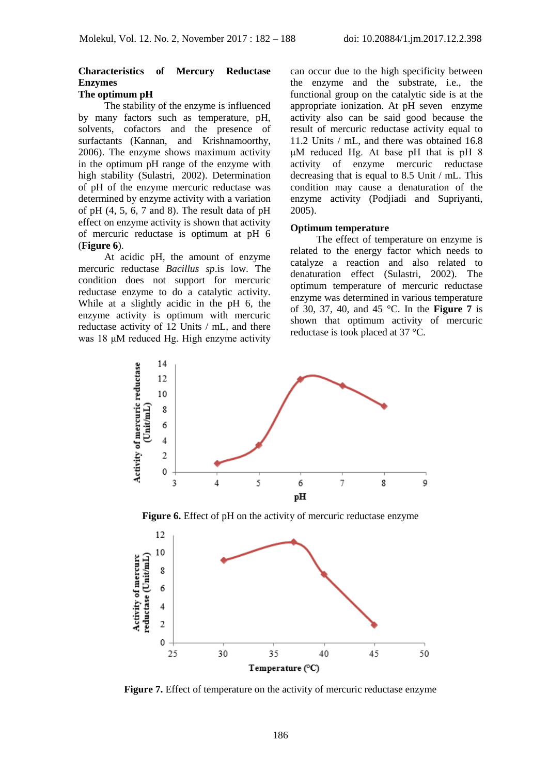# **Characteristics of Mercury Reductase Enzymes**

# **The optimum pH**

The stability of the enzyme is influenced by many factors such as temperature, pH, solvents, cofactors and the presence of surfactants (Kannan, and Krishnamoorthy, 2006). The enzyme shows maximum activity in the optimum pH range of the enzyme with high stability (Sulastri, 2002). Determination of pH of the enzyme mercuric reductase was determined by enzyme activity with a variation of pH (4, 5, 6, 7 and 8). The result data of pH effect on enzyme activity is shown that activity of mercuric reductase is optimum at pH 6 (**Figure 6**).

At acidic pH, the amount of enzyme mercuric reductase *Bacillus sp*.is low. The condition does not support for mercuric reductase enzyme to do a catalytic activity. While at a slightly acidic in the pH 6, the enzyme activity is optimum with mercuric reductase activity of 12 Units / mL, and there was 18 μM reduced Hg. High enzyme activity can occur due to the high specificity between the enzyme and the substrate, i.e., the functional group on the catalytic side is at the appropriate ionization. At pH seven enzyme activity also can be said good because the result of mercuric reductase activity equal to 11.2 Units / mL, and there was obtained 16.8 μM reduced Hg. At base pH that is pH 8 activity of enzyme mercuric reductase decreasing that is equal to 8.5 Unit / mL. This condition may cause a denaturation of the enzyme activity (Podjiadi and Supriyanti, 2005).

## **Optimum temperature**

The effect of temperature on enzyme is related to the energy factor which needs to catalyze a reaction and also related to denaturation effect (Sulastri, 2002). The optimum temperature of mercuric reductase enzyme was determined in various temperature of 30, 37, 40, and 45 °C. In the **Figure 7** is shown that optimum activity of mercuric reductase is took placed at 37 °C.



**Figure 7.** Effect of temperature on the activity of mercuric reductase enzyme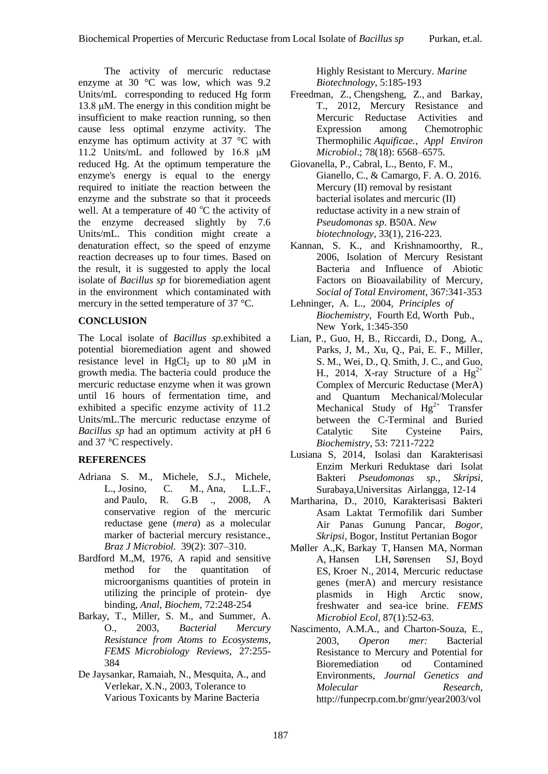The activity of mercuric reductase enzyme at 30 °C was low, which was 9.2 Units/mL corresponding to reduced Hg form 13.8 μM. The energy in this condition might be insufficient to make reaction running, so then cause less optimal enzyme activity. The enzyme has optimum activity at 37 °C with 11.2 Units/mL and followed by 16.8 μM reduced Hg. At the optimum temperature the enzyme's energy is equal to the energy required to initiate the reaction between the enzyme and the substrate so that it proceeds well. At a temperature of 40  $^{\circ}$ C the activity of the enzyme decreased slightly by 7.6 Units/mL. This condition might create a denaturation effect, so the speed of enzyme reaction decreases up to four times. Based on the result, it is suggested to apply the local isolate of *Bacillus sp* for bioremediation agent in the environment which contaminated with mercury in the setted temperature of 37 °C.

# **CONCLUSION**

The Local isolate of *Bacillus sp.*exhibited a potential bioremediation agent and showed resistance level in HgCl<sub>2</sub> up to 80  $\mu$ M in growth media. The bacteria could produce the mercuric reductase enzyme when it was grown until 16 hours of fermentation time, and exhibited a specific enzyme activity of 11.2 Units/mL.The mercuric reductase enzyme of *Bacillus sp* had an optimum activity at pH 6 and 37 °C respectively.

# **REFERENCES**

- [Adriana S. M., Michele,](https://www.ncbi.nlm.nih.gov/pubmed/?term=Sotero-Martins%20A%5BAuthor%5D&cauthor=true&cauthor_uid=24031221) S.J., [Michele,](https://www.ncbi.nlm.nih.gov/pubmed/?term=Lacerda%20M%5BAuthor%5D&cauthor=true&cauthor_uid=24031221) [L.](https://www.ncbi.nlm.nih.gov/pubmed/?term=Lacerda%20M%5BAuthor%5D&cauthor=true&cauthor_uid=24031221), [Josino,](https://www.ncbi.nlm.nih.gov/pubmed/?term=Moreira%20JC%5BAuthor%5D&cauthor=true&cauthor_uid=24031221) C. M., Ana, [L.L.F.,](https://www.ncbi.nlm.nih.gov/pubmed/?term=Filgueiras%20AL%5BAuthor%5D&cauthor=true&cauthor_uid=24031221) and [Paulo,](https://www.ncbi.nlm.nih.gov/pubmed/?term=Barrocas%20PR%5BAuthor%5D&cauthor=true&cauthor_uid=24031221) R. G.B ., 2008, A conservative region of the mercuric reductase gene (*mera*) as a molecular marker of bacterial mercury resistance., *[Braz J Microbiol.](https://www.ncbi.nlm.nih.gov/pmc/articles/PMC3768397/)* 39(2): 307–310.
- Bardford M.,M, 1976, A rapid and sensitive method for the quantitation of microorganisms quantities of protein in utilizing the principle of protein- dye binding*, Anal, Biochem,* 72:248-254
- Barkay, T., Miller, S. M., and Summer, A. O., 2003, *Bacterial Mercury Resistance from Atoms to Ecosystems*, *FEMS Microbiology Reviews,* 27:255- 384
- De Jaysankar, Ramaiah, N., Mesquita, A., and Verlekar, X.N., 2003, Tolerance to Various Toxicants by Marine Bacteria

Highly Resistant to Mercury. *Marine Biotechnology*, 5:185-193

- [Freedman,](https://www.ncbi.nlm.nih.gov/pubmed/?term=Freedman%20Z%5BAuthor%5D&cauthor=true&cauthor_uid=22773655) Z., [Chengsheng,](https://www.ncbi.nlm.nih.gov/pubmed/?term=Zhu%20C%5BAuthor%5D&cauthor=true&cauthor_uid=22773655) Z., and [Barkay,](https://www.ncbi.nlm.nih.gov/pubmed/?term=Barkay%20T%5BAuthor%5D&cauthor=true&cauthor_uid=22773655) T., 2012, Mercury Resistance and Mercuric Reductase Activities and Expression among Chemotrophic Thermophilic *Aquificae., [Appl Environ](https://www.ncbi.nlm.nih.gov/pmc/articles/PMC3426723/)  [Microbiol](https://www.ncbi.nlm.nih.gov/pmc/articles/PMC3426723/)*.; 78(18): 6568–6575.
- Giovanella, P., Cabral, L., Bento, F. M., Gianello, C., & Camargo, F. A. O. 2016. Mercury (II) removal by resistant bacterial isolates and mercuric (II) reductase activity in a new strain of *Pseudomonas sp*. B50A. *New biotechnology*, 33(1), 216-223.
- Kannan, S. K., and Krishnamoorthy, R., 2006, Isolation of Mercury Resistant Bacteria and Influence of Abiotic Factors on Bioavailability of Mercury*, Social of Total Enviroment*, 367:341-353
- Lehninger, A. L., 2004, *Principles of Biochemistry,* Fourth Ed, Worth Pub., New York, 1:345-350
- Lian, P., Guo, H, B., Riccardi, D., Dong, A., Parks, J, M., Xu, Q., Pai, E. F., Miller, S. M., Wei, D., Q. Smith, J. C., and Guo, H., 2014, X-ray Structure of a  $Hg^{2+}$ Complex of Mercuric Reductase (MerA) and Quantum Mechanical/Molecular Mechanical Study of  $Hg^{2+}$  Transfer between the C-Terminal and Buried Catalytic Site Cysteine Pairs, *Biochemistry*, 53: 7211-7222
- Lusiana S, 2014, Isolasi dan Karakterisasi Enzim Merkuri Reduktase dari Isolat Bakteri *Pseudomonas sp.*, *Skripsi*, Surabaya,Universitas Airlangga, 12-14
- Martharina, D., 2010, Karakterisasi Bakteri Asam Laktat Termofilik dari Sumber Air Panas Gunung Pancar*, Bogor, Skripsi*, Bogor, Institut Pertanian Bogor
- [Møller A.,K,](https://www.ncbi.nlm.nih.gov/pubmed/?term=M%C3%B8ller%20AK%5BAuthor%5D&cauthor=true&cauthor_uid=23909591) [Barkay T,](https://www.ncbi.nlm.nih.gov/pubmed/?term=Barkay%20T%5BAuthor%5D&cauthor=true&cauthor_uid=23909591) [Hansen MA,](https://www.ncbi.nlm.nih.gov/pubmed/?term=Hansen%20MA%5BAuthor%5D&cauthor=true&cauthor_uid=23909591) [Norman](https://www.ncbi.nlm.nih.gov/pubmed/?term=Norman%20A%5BAuthor%5D&cauthor=true&cauthor_uid=23909591)  [A,](https://www.ncbi.nlm.nih.gov/pubmed/?term=Norman%20A%5BAuthor%5D&cauthor=true&cauthor_uid=23909591) [Hansen LH,](https://www.ncbi.nlm.nih.gov/pubmed/?term=Hansen%20LH%5BAuthor%5D&cauthor=true&cauthor_uid=23909591) [Sørensen SJ,](https://www.ncbi.nlm.nih.gov/pubmed/?term=S%C3%B8rensen%20SJ%5BAuthor%5D&cauthor=true&cauthor_uid=23909591) [Boyd](https://www.ncbi.nlm.nih.gov/pubmed/?term=Boyd%20ES%5BAuthor%5D&cauthor=true&cauthor_uid=23909591)  [ES,](https://www.ncbi.nlm.nih.gov/pubmed/?term=Boyd%20ES%5BAuthor%5D&cauthor=true&cauthor_uid=23909591) [Kroer N.](https://www.ncbi.nlm.nih.gov/pubmed/?term=Kroer%20N%5BAuthor%5D&cauthor=true&cauthor_uid=23909591), 2014, Mercuric reductase genes (merA) and mercury resistance plasmids in High Arctic snow, freshwater and sea-ice brine. *FEMS Microbiol Ecol*, 87(1):52-63.
- Nascimento, A.M.A., and Charton-Souza, E., 2003, *Operon mer:* Bacterial Resistance to Mercury and Potential for Bioremediation od Contamined Environments*, Journal Genetics and Molecular Research*, [http://funpecrp.com.br/gmr/year2003/vol](http://funpecrp.com.br/gmr/year2003/vol1-2/sim0005_full_text.htm)